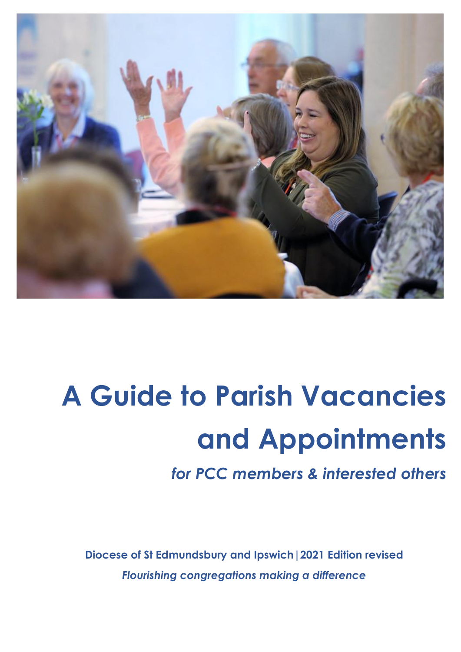

# **A Guide to Parish Vacancies and Appointments**

*for PCC members & interested others*

**Diocese of St Edmundsbury and Ipswich|2021 Edition revised** *Flourishing congregations making a difference*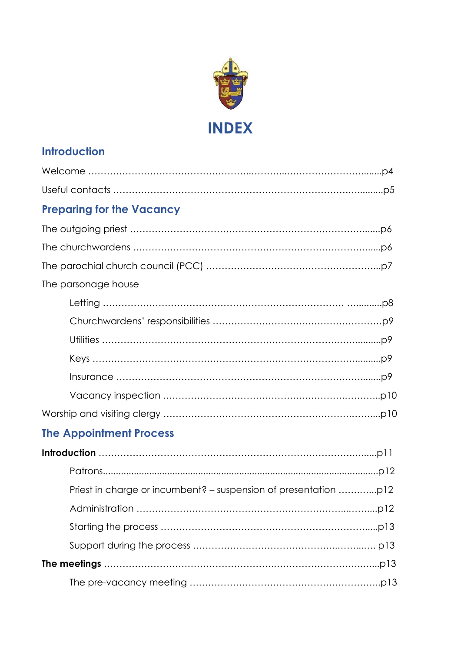

# **Introduction**

| <b>Preparing for the Vacancy</b> |
|----------------------------------|
|                                  |
|                                  |
|                                  |
| The parsonage house              |
|                                  |
|                                  |
|                                  |
|                                  |
|                                  |
|                                  |
|                                  |

# **The Appointment Process**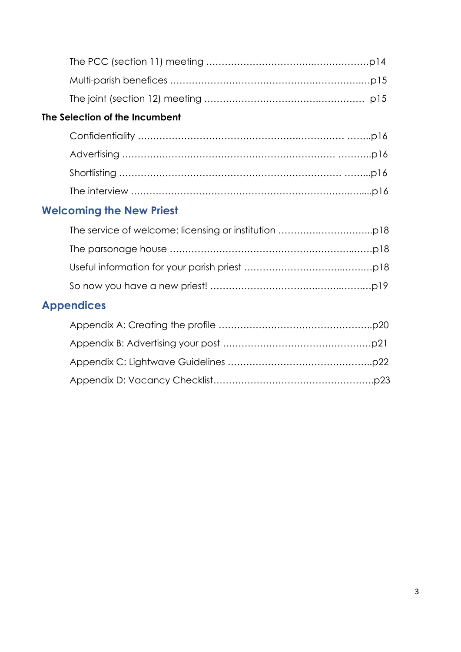# **The Selection of the Incumbent**

# **Welcoming the New Priest**

# **Appendices**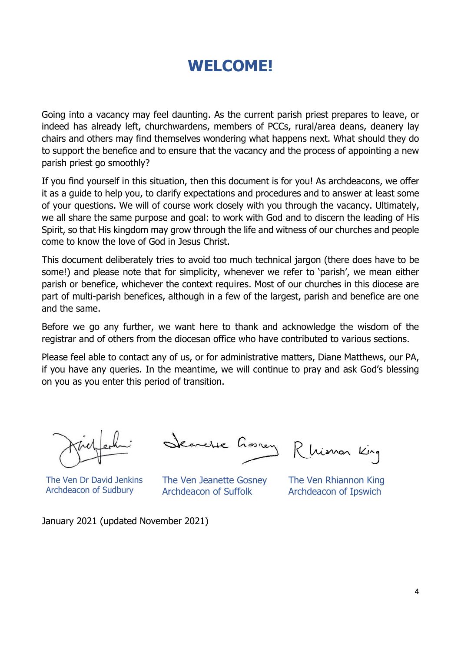# **WELCOME!**

Going into a vacancy may feel daunting. As the current parish priest prepares to leave, or indeed has already left, churchwardens, members of PCCs, rural/area deans, deanery lay chairs and others may find themselves wondering what happens next. What should they do to support the benefice and to ensure that the vacancy and the process of appointing a new parish priest go smoothly?

If you find yourself in this situation, then this document is for you! As archdeacons, we offer it as a guide to help you, to clarify expectations and procedures and to answer at least some of your questions. We will of course work closely with you through the vacancy. Ultimately, we all share the same purpose and goal: to work with God and to discern the leading of His Spirit, so that His kingdom may grow through the life and witness of our churches and people come to know the love of God in Jesus Christ.

This document deliberately tries to avoid too much technical jargon (there does have to be some!) and please note that for simplicity, whenever we refer to 'parish', we mean either parish or benefice, whichever the context requires. Most of our churches in this diocese are part of multi-parish benefices, although in a few of the largest, parish and benefice are one and the same.

Before we go any further, we want here to thank and acknowledge the wisdom of the registrar and of others from the diocesan office who have contributed to various sections.

Please feel able to contact any of us, or for administrative matters, Diane Matthews, our PA, if you have any queries. In the meantime, we will continue to pray and ask God's blessing on you as you enter this period of transition.

The Ven Dr David Jenkins Archdeacon of Sudbury

Secrete Gossey Rhiman King

The Ven Jeanette Gosney Archdeacon of Suffolk

The Ven Rhiannon King Archdeacon of Ipswich

January 2021 (updated November 2021)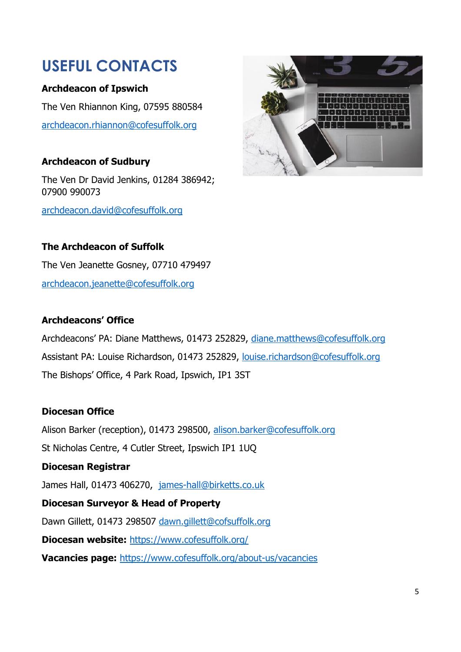# **USEFUL CONTACTS**

#### **Archdeacon of Ipswich**

The Ven Rhiannon King, 07595 880584 [archdeacon.rhiannon@cofesuffolk.org](mailto:archdeacon.rhiannon@cofesuffolk.org)

#### **Archdeacon of Sudbury**

The Ven Dr David Jenkins, 01284 386942; 07900 990073

[archdeacon.david@cofesuffolk.org](mailto:archdeacon.david@cofesuffolk.org)



#### **The Archdeacon of Suffolk**

The Ven Jeanette Gosney, 07710 479497 [archdeacon.jeanette@cofesuffolk.org](mailto:archdeacon.jeanette@cofesuffolk.org)

#### **Archdeacons' Office**

Archdeacons' PA: Diane Matthews, 01473 252829, [diane.matthews@cofesuffolk.org](mailto:diane.matthews@cofesuffolk.org) Assistant PA: Louise Richardson, 01473 252829, [louise.richardson@cofesuffolk.org](mailto:louise.richardson@cofesuffolk.org) The Bishops' Office, 4 Park Road, Ipswich, IP1 3ST

#### **Diocesan Office**

Alison Barker (reception), 01473 298500, [alison.barker@cofesuffolk.org](mailto:alison.barker@cofesuffolk.org)

St Nicholas Centre, 4 Cutler Street, Ipswich IP1 1UQ

#### **Diocesan Registrar**

James Hall, 01473 406270, [james-hall@birketts.co.uk](mailto:james-hall@birketts.co.uk)

#### **Diocesan Surveyor & Head of Property**

Dawn Gillett, 01473 298507 [dawn.gillett@cofsuffolk.org](mailto:dawn.gillett@cofsuffolk.org)

**Diocesan website:** <https://www.cofesuffolk.org/>

**Vacancies page:** <https://www.cofesuffolk.org/about-us/vacancies>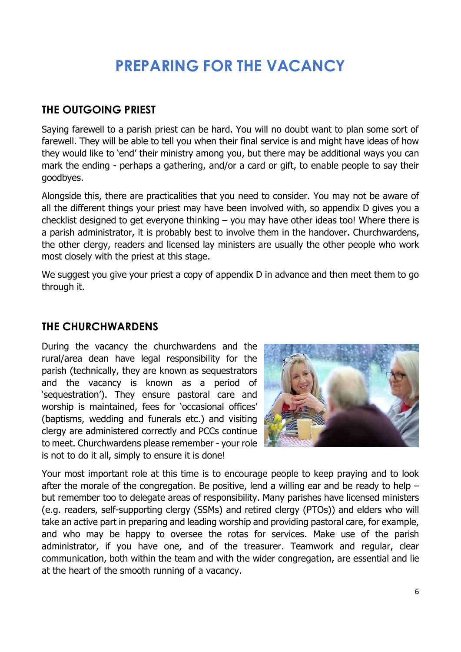# **PREPARING FOR THE VACANCY**

### **THE OUTGOING PRIEST**

Saying farewell to a parish priest can be hard. You will no doubt want to plan some sort of farewell. They will be able to tell you when their final service is and might have ideas of how they would like to 'end' their ministry among you, but there may be additional ways you can mark the ending - perhaps a gathering, and/or a card or gift, to enable people to say their goodbyes.

Alongside this, there are practicalities that you need to consider. You may not be aware of all the different things your priest may have been involved with, so appendix D gives you a checklist designed to get everyone thinking – you may have other ideas too! Where there is a parish administrator, it is probably best to involve them in the handover. Churchwardens, the other clergy, readers and licensed lay ministers are usually the other people who work most closely with the priest at this stage.

We suggest you give your priest a copy of appendix D in advance and then meet them to go through it.

#### **THE CHURCHWARDENS**

During the vacancy the churchwardens and the rural/area dean have legal responsibility for the parish (technically, they are known as sequestrators and the vacancy is known as a period of 'sequestration'). They ensure pastoral care and worship is maintained, fees for 'occasional offices' (baptisms, wedding and funerals etc.) and visiting clergy are administered correctly and PCCs continue to meet. Churchwardens please remember - your role is not to do it all, simply to ensure it is done!



Your most important role at this time is to encourage people to keep praying and to look after the morale of the congregation. Be positive, lend a willing ear and be ready to help  $$ but remember too to delegate areas of responsibility. Many parishes have licensed ministers (e.g. readers, self-supporting clergy (SSMs) and retired clergy (PTOs)) and elders who will take an active part in preparing and leading worship and providing pastoral care, for example, and who may be happy to oversee the rotas for services. Make use of the parish administrator, if you have one, and of the treasurer. Teamwork and regular, clear communication, both within the team and with the wider congregation, are essential and lie at the heart of the smooth running of a vacancy.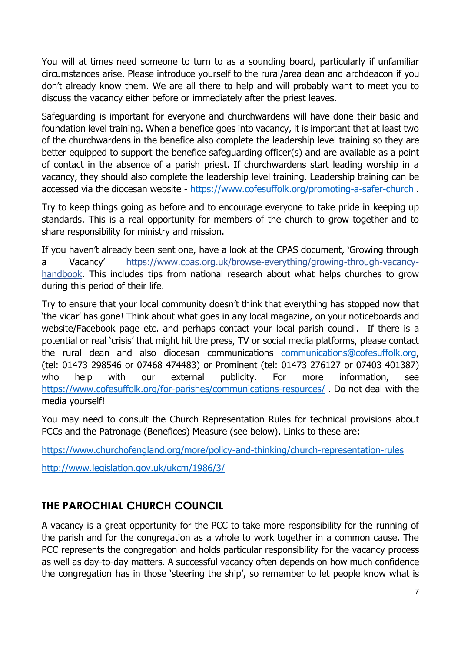You will at times need someone to turn to as a sounding board, particularly if unfamiliar circumstances arise. Please introduce yourself to the rural/area dean and archdeacon if you don't already know them. We are all there to help and will probably want to meet you to discuss the vacancy either before or immediately after the priest leaves.

Safeguarding is important for everyone and churchwardens will have done their basic and foundation level training. When a benefice goes into vacancy, it is important that at least two of the churchwardens in the benefice also complete the leadership level training so they are better equipped to support the benefice safeguarding officer(s) and are available as a point of contact in the absence of a parish priest. If churchwardens start leading worship in a vacancy, they should also complete the leadership level training. Leadership training can be accessed via the diocesan website - <https://www.cofesuffolk.org/promoting-a-safer-church>.

Try to keep things going as before and to encourage everyone to take pride in keeping up standards. This is a real opportunity for members of the church to grow together and to share responsibility for ministry and mission.

If you haven't already been sent one, have a look at the CPAS document, 'Growing through a Vacancy' [https://www.cpas.org.uk/browse-everything/growing-through-vacancy](https://www.cpas.org.uk/browse-everything/growing-through-vacancy-handbook)[handbook.](https://www.cpas.org.uk/browse-everything/growing-through-vacancy-handbook) This includes tips from national research about what helps churches to grow during this period of their life.

Try to ensure that your local community doesn't think that everything has stopped now that 'the vicar' has gone! Think about what goes in any local magazine, on your noticeboards and website/Facebook page etc. and perhaps contact your local parish council. If there is a potential or real 'crisis' that might hit the press, TV or social media platforms, please contact the rural dean and also diocesan communications [communications@cofesuffolk.org,](mailto:communications@cofesuffolk.org) (tel: 01473 298546 or 07468 474483) or Prominent (tel: 01473 276127 or 07403 401387) who help with our external publicity. For more information, see <https://www.cofesuffolk.org/for-parishes/communications-resources/> . Do not deal with the media yourself!

You may need to consult the Church Representation Rules for technical provisions about PCCs and the Patronage (Benefices) Measure (see below). Links to these are:

<https://www.churchofengland.org/more/policy-and-thinking/church-representation-rules>

<http://www.legislation.gov.uk/ukcm/1986/3/>

# **THE PAROCHIAL CHURCH COUNCIL**

A vacancy is a great opportunity for the PCC to take more responsibility for the running of the parish and for the congregation as a whole to work together in a common cause. The PCC represents the congregation and holds particular responsibility for the vacancy process as well as day-to-day matters. A successful vacancy often depends on how much confidence the congregation has in those 'steering the ship', so remember to let people know what is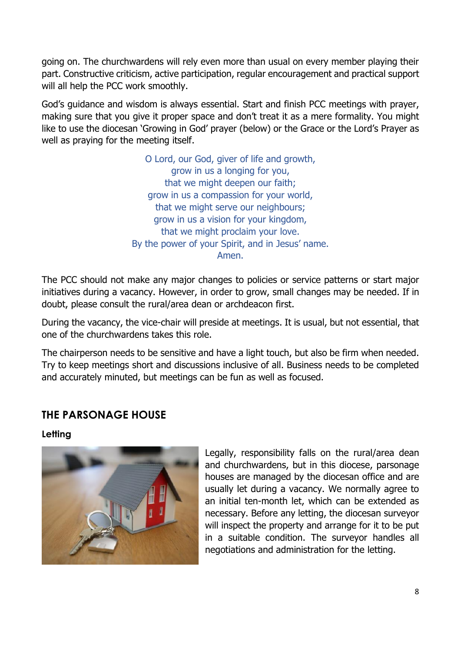going on. The churchwardens will rely even more than usual on every member playing their part. Constructive criticism, active participation, regular encouragement and practical support will all help the PCC work smoothly.

God's guidance and wisdom is always essential. Start and finish PCC meetings with prayer, making sure that you give it proper space and don't treat it as a mere formality. You might like to use the diocesan 'Growing in God' prayer (below) or the Grace or the Lord's Prayer as well as praying for the meeting itself.

> O Lord, our God, giver of life and growth, grow in us a longing for you, that we might deepen our faith; grow in us a compassion for your world, that we might serve our neighbours; grow in us a vision for your kingdom, that we might proclaim your love. By the power of your Spirit, and in Jesus' name. Amen.

The PCC should not make any major changes to policies or service patterns or start major initiatives during a vacancy. However, in order to grow, small changes may be needed. If in doubt, please consult the rural/area dean or archdeacon first.

During the vacancy, the vice-chair will preside at meetings. It is usual, but not essential, that one of the churchwardens takes this role.

The chairperson needs to be sensitive and have a light touch, but also be firm when needed. Try to keep meetings short and discussions inclusive of all. Business needs to be completed and accurately minuted, but meetings can be fun as well as focused.

# **THE PARSONAGE HOUSE**

**Letting**



Legally, responsibility falls on the rural/area dean and churchwardens, but in this diocese, parsonage houses are managed by the diocesan office and are usually let during a vacancy. We normally agree to an initial ten-month let, which can be extended as necessary. Before any letting, the diocesan surveyor will inspect the property and arrange for it to be put in a suitable condition. The surveyor handles all negotiations and administration for the letting.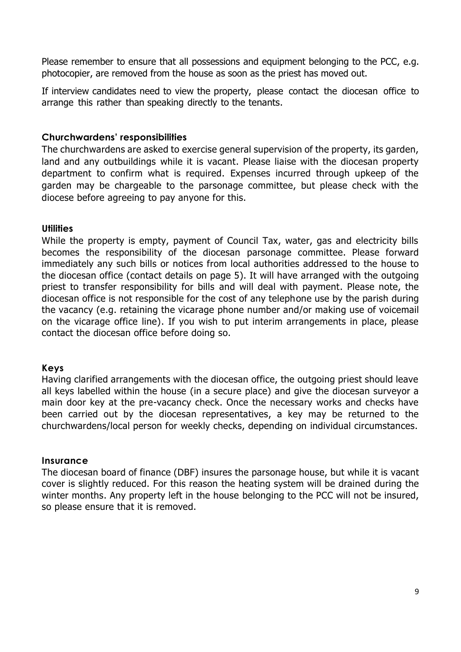Please remember to ensure that all possessions and equipment belonging to the PCC, e.g. photocopier, are removed from the house as soon as the priest has moved out.

If interview candidates need to view the property, please contact the diocesan office to arrange this rather than speaking directly to the tenants.

#### **Churchwardens' responsibilities**

The churchwardens are asked to exercise general supervision of the property, its garden, land and any outbuildings while it is vacant. Please liaise with the diocesan property department to confirm what is required. Expenses incurred through upkeep of the garden may be chargeable to the parsonage committee, but please check with the diocese before agreeing to pay anyone for this.

#### **Utilities**

While the property is empty, payment of Council Tax, water, gas and electricity bills becomes the responsibility of the diocesan parsonage committee. Please forward immediately any such bills or notices from local authorities addressed to the house to the diocesan office (contact details on page 5). It will have arranged with the outgoing priest to transfer responsibility for bills and will deal with payment. Please note, the diocesan office is not responsible for the cost of any telephone use by the parish during the vacancy (e.g. retaining the vicarage phone number and/or making use of voicemail on the vicarage office line). If you wish to put interim arrangements in place, please contact the diocesan office before doing so.

#### **Keys**

Having clarified arrangements with the diocesan office, the outgoing priest should leave all keys labelled within the house (in a secure place) and give the diocesan surveyor a main door key at the pre-vacancy check. Once the necessary works and checks have been carried out by the diocesan representatives, a key may be returned to the churchwardens/local person for weekly checks, depending on individual circumstances.

#### **Insurance**

The diocesan board of finance (DBF) insures the parsonage house, but while it is vacant cover is slightly reduced. For this reason the heating system will be drained during the winter months. Any property left in the house belonging to the PCC will not be insured, so please ensure that it is removed.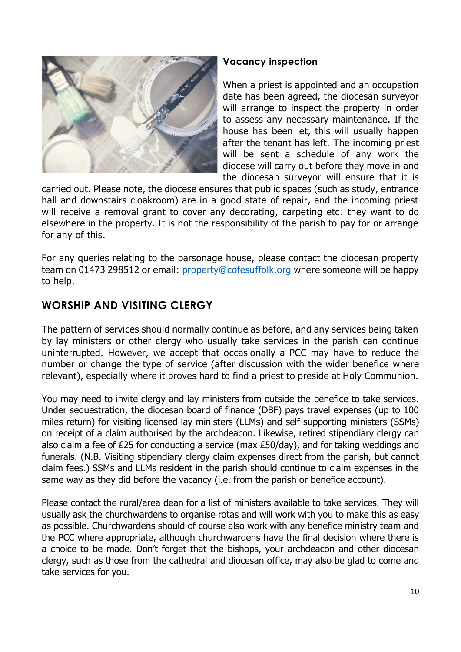

#### **Vacancy inspection**

When a priest is appointed and an occupation date has been agreed, the diocesan surveyor will arrange to inspect the property in order to assess any necessary maintenance. If the house has been let, this will usually happen after the tenant has left. The incoming priest will be sent a schedule of any work the diocese will carry out before they move in and the diocesan surveyor will ensure that it is

carried out. Please note, the diocese ensures that public spaces (such as study, entrance hall and downstairs cloakroom) are in a good state of repair, and the incoming priest will receive a removal grant to cover any decorating, carpeting etc. they want to do elsewhere in the property. It is not the responsibility of the parish to pay for or arrange for any of this.

For any queries relating to the parsonage house, please contact the diocesan property team on 01473 298512 or email: [property@cofesuffolk.org](mailto:property@cofesuffolk.org) where someone will be happy to help.

# **WORSHIP AND VISITING CLERGY**

The pattern of services should normally continue as before, and any services being taken by lay ministers or other clergy who usually take services in the parish can continue uninterrupted. However, we accept that occasionally a PCC may have to reduce the number or change the type of service (after discussion with the wider benefice where relevant), especially where it proves hard to find a priest to preside at Holy Communion.

You may need to invite clergy and lay ministers from outside the benefice to take services. Under sequestration, the diocesan board of finance (DBF) pays travel expenses (up to 100 miles return) for visiting licensed lay ministers (LLMs) and self-supporting ministers (SSMs) on receipt of a claim authorised by the archdeacon. Likewise, retired stipendiary clergy can also claim a fee of £25 for conducting a service (max £50/day), and for taking weddings and funerals. (N.B. Visiting stipendiary clergy claim expenses direct from the parish, but cannot claim fees.) SSMs and LLMs resident in the parish should continue to claim expenses in the same way as they did before the vacancy (i.e. from the parish or benefice account).

Please contact the rural/area dean for a list of ministers available to take services. They will usually ask the churchwardens to organise rotas and will work with you to make this as easy as possible. Churchwardens should of course also work with any benefice ministry team and the PCC where appropriate, although churchwardens have the final decision where there is a choice to be made. Don't forget that the bishops, your archdeacon and other diocesan clergy, such as those from the cathedral and diocesan office, may also be glad to come and take services for you.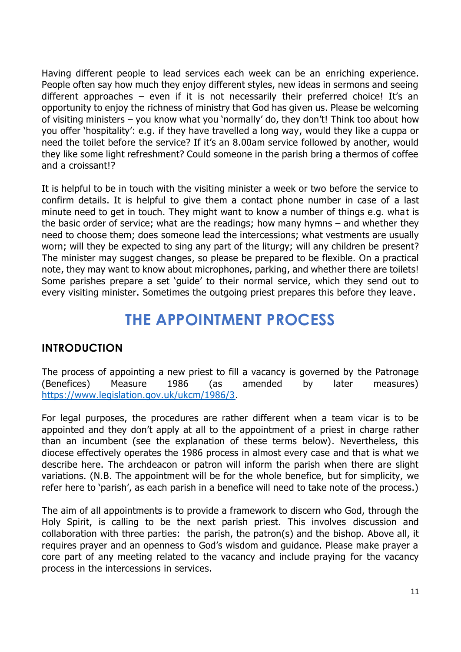Having different people to lead services each week can be an enriching experience. People often say how much they enjoy different styles, new ideas in sermons and seeing different approaches – even if it is not necessarily their preferred choice! It's an opportunity to enjoy the richness of ministry that God has given us. Please be welcoming of visiting ministers – you know what you 'normally' do, they don't! Think too about how you offer 'hospitality': e.g. if they have travelled a long way, would they like a cuppa or need the toilet before the service? If it's an 8.00am service followed by another, would they like some light refreshment? Could someone in the parish bring a thermos of coffee and a croissant!?

It is helpful to be in touch with the visiting minister a week or two before the service to confirm details. It is helpful to give them a contact phone number in case of a last minute need to get in touch. They might want to know a number of things e.g. what is the basic order of service; what are the readings; how many hymns – and whether they need to choose them; does someone lead the intercessions; what vestments are usually worn; will they be expected to sing any part of the liturgy; will any children be present? The minister may suggest changes, so please be prepared to be flexible. On a practical note, they may want to know about microphones, parking, and whether there are toilets! Some parishes prepare a set 'guide' to their normal service, which they send out to every visiting minister. Sometimes the outgoing priest prepares this before they leave.

# **THE APPOINTMENT PROCESS**

### **INTRODUCTION**

The process of appointing a new priest to fill a vacancy is governed by the Patronage (Benefices) Measure 1986 (as amended by later measures) [https://www.legislation.gov.uk/ukcm/1986/3.](https://www.legislation.gov.uk/ukcm/1986/3)

For legal purposes, the procedures are rather different when a team vicar is to be appointed and they don't apply at all to the appointment of a priest in charge rather than an incumbent (see the explanation of these terms below). Nevertheless, this diocese effectively operates the 1986 process in almost every case and that is what we describe here. The archdeacon or patron will inform the parish when there are slight variations. (N.B. The appointment will be for the whole benefice, but for simplicity, we refer here to 'parish', as each parish in a benefice will need to take note of the process.)

The aim of all appointments is to provide a framework to discern who God, through the Holy Spirit, is calling to be the next parish priest. This involves discussion and collaboration with three parties: the parish, the patron(s) and the bishop. Above all, it requires prayer and an openness to God's wisdom and guidance. Please make prayer a core part of any meeting related to the vacancy and include praying for the vacancy process in the intercessions in services.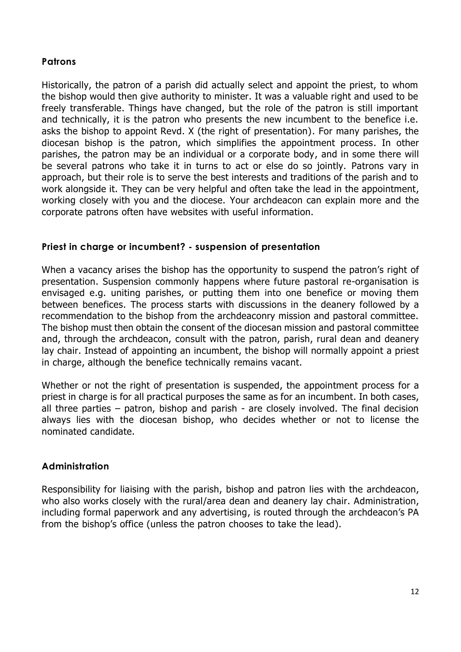#### **Patrons**

Historically, the patron of a parish did actually select and appoint the priest, to whom the bishop would then give authority to minister. It was a valuable right and used to be freely transferable. Things have changed, but the role of the patron is still important and technically, it is the patron who presents the new incumbent to the benefice i.e. asks the bishop to appoint Revd. X (the right of presentation). For many parishes, the diocesan bishop is the patron, which simplifies the appointment process. In other parishes, the patron may be an individual or a corporate body, and in some there will be several patrons who take it in turns to act or else do so jointly. Patrons vary in approach, but their role is to serve the best interests and traditions of the parish and to work alongside it. They can be very helpful and often take the lead in the appointment, working closely with you and the diocese. Your archdeacon can explain more and the corporate patrons often have websites with useful information.

#### **Priest in charge or incumbent? - suspension of presentation**

When a vacancy arises the bishop has the opportunity to suspend the patron's right of presentation. Suspension commonly happens where future pastoral re-organisation is envisaged e.g. uniting parishes, or putting them into one benefice or moving them between benefices. The process starts with discussions in the deanery followed by a recommendation to the bishop from the archdeaconry mission and pastoral committee. The bishop must then obtain the consent of the diocesan mission and pastoral committee and, through the archdeacon, consult with the patron, parish, rural dean and deanery lay chair. Instead of appointing an incumbent, the bishop will normally appoint a priest in charge, although the benefice technically remains vacant.

Whether or not the right of presentation is suspended, the appointment process for a priest in charge is for all practical purposes the same as for an incumbent. In both cases, all three parties – patron, bishop and parish - are closely involved. The final decision always lies with the diocesan bishop, who decides whether or not to license the nominated candidate.

#### **Administration**

Responsibility for liaising with the parish, bishop and patron lies with the archdeacon, who also works closely with the rural/area dean and deanery lay chair. Administration, including formal paperwork and any advertising, is routed through the archdeacon's PA from the bishop's office (unless the patron chooses to take the lead).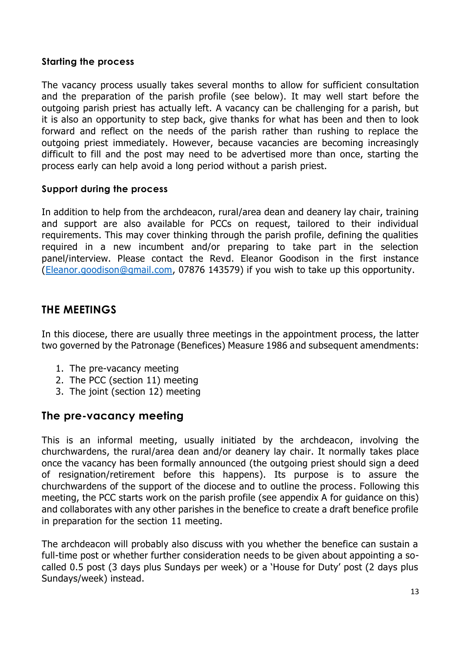#### **Starting the process**

The vacancy process usually takes several months to allow for sufficient consultation and the preparation of the parish profile (see below). It may well start before the outgoing parish priest has actually left. A vacancy can be challenging for a parish, but it is also an opportunity to step back, give thanks for what has been and then to look forward and reflect on the needs of the parish rather than rushing to replace the outgoing priest immediately. However, because vacancies are becoming increasingly difficult to fill and the post may need to be advertised more than once, starting the process early can help avoid a long period without a parish priest.

#### **Support during the process**

In addition to help from the archdeacon, rural/area dean and deanery lay chair, training and support are also available for PCCs on request, tailored to their individual requirements. This may cover thinking through the parish profile, defining the qualities required in a new incumbent and/or preparing to take part in the selection panel/interview. Please contact the Revd. Eleanor Goodison in the first instance [\(Eleanor.goodison@gmail.com,](mailto:Eleanor.goodison@gmail.com) 07876 143579) if you wish to take up this opportunity.

### **THE MEETINGS**

In this diocese, there are usually three meetings in the appointment process, the latter two governed by the Patronage (Benefices) Measure 1986 and subsequent amendments:

- 1. The pre-vacancy meeting
- 2. The PCC (section 11) meeting
- 3. The joint (section 12) meeting

### **The pre-vacancy meeting**

This is an informal meeting, usually initiated by the archdeacon, involving the churchwardens, the rural/area dean and/or deanery lay chair. It normally takes place once the vacancy has been formally announced (the outgoing priest should sign a deed of resignation/retirement before this happens). Its purpose is to assure the churchwardens of the support of the diocese and to outline the process. Following this meeting, the PCC starts work on the parish profile (see appendix A for guidance on this) and collaborates with any other parishes in the benefice to create a draft benefice profile in preparation for the section 11 meeting.

The archdeacon will probably also discuss with you whether the benefice can sustain a full-time post or whether further consideration needs to be given about appointing a socalled 0.5 post (3 days plus Sundays per week) or a 'House for Duty' post (2 days plus Sundays/week) instead.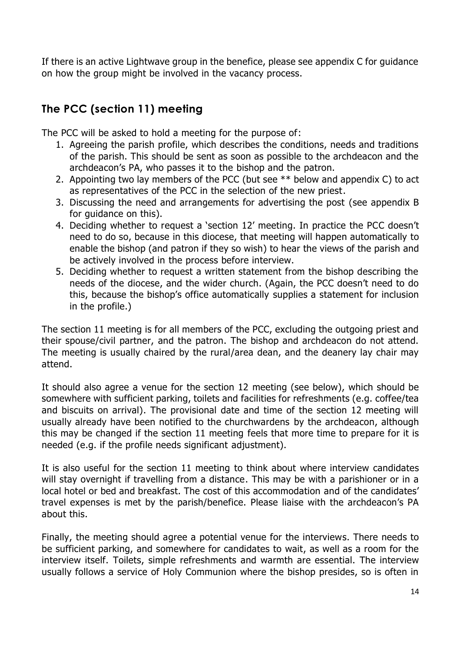If there is an active Lightwave group in the benefice, please see appendix C for guidance on how the group might be involved in the vacancy process.

# **The PCC (section 11) meeting**

The PCC will be asked to hold a meeting for the purpose of:

- 1. Agreeing the parish profile, which describes the conditions, needs and traditions of the parish. This should be sent as soon as possible to the archdeacon and the archdeacon's PA, who passes it to the bishop and the patron.
- 2. Appointing two lay members of the PCC (but see \*\* below and appendix C) to act as representatives of the PCC in the selection of the new priest.
- 3. Discussing the need and arrangements for advertising the post (see appendix B for guidance on this).
- 4. Deciding whether to request a 'section 12' meeting. In practice the PCC doesn't need to do so, because in this diocese, that meeting will happen automatically to enable the bishop (and patron if they so wish) to hear the views of the parish and be actively involved in the process before interview.
- 5. Deciding whether to request a written statement from the bishop describing the needs of the diocese, and the wider church. (Again, the PCC doesn't need to do this, because the bishop's office automatically supplies a statement for inclusion in the profile.)

The section 11 meeting is for all members of the PCC, excluding the outgoing priest and their spouse/civil partner, and the patron. The bishop and archdeacon do not attend. The meeting is usually chaired by the rural/area dean, and the deanery lay chair may attend.

It should also agree a venue for the section 12 meeting (see below), which should be somewhere with sufficient parking, toilets and facilities for refreshments (e.g. coffee/tea and biscuits on arrival). The provisional date and time of the section 12 meeting will usually already have been notified to the churchwardens by the archdeacon, although this may be changed if the section 11 meeting feels that more time to prepare for it is needed (e.g. if the profile needs significant adjustment).

It is also useful for the section 11 meeting to think about where interview candidates will stay overnight if travelling from a distance. This may be with a parishioner or in a local hotel or bed and breakfast. The cost of this accommodation and of the candidates' travel expenses is met by the parish/benefice. Please liaise with the archdeacon's PA about this.

Finally, the meeting should agree a potential venue for the interviews. There needs to be sufficient parking, and somewhere for candidates to wait, as well as a room for the interview itself. Toilets, simple refreshments and warmth are essential. The interview usually follows a service of Holy Communion where the bishop presides, so is often in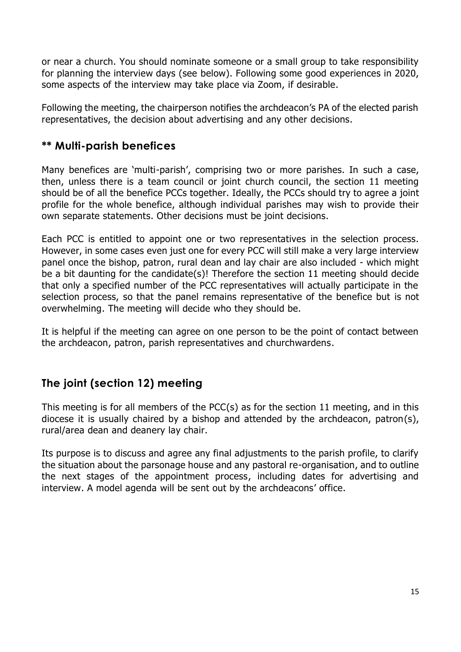or near a church. You should nominate someone or a small group to take responsibility for planning the interview days (see below). Following some good experiences in 2020, some aspects of the interview may take place via Zoom, if desirable.

Following the meeting, the chairperson notifies the archdeacon's PA of the elected parish representatives, the decision about advertising and any other decisions.

# **\*\* Multi-parish benefices**

Many benefices are 'multi-parish', comprising two or more parishes. In such a case, then, unless there is a team council or joint church council, the section 11 meeting should be of all the benefice PCCs together. Ideally, the PCCs should try to agree a joint profile for the whole benefice, although individual parishes may wish to provide their own separate statements. Other decisions must be joint decisions.

Each PCC is entitled to appoint one or two representatives in the selection process. However, in some cases even just one for every PCC will still make a very large interview panel once the bishop, patron, rural dean and lay chair are also included - which might be a bit daunting for the candidate(s)! Therefore the section 11 meeting should decide that only a specified number of the PCC representatives will actually participate in the selection process, so that the panel remains representative of the benefice but is not overwhelming. The meeting will decide who they should be.

It is helpful if the meeting can agree on one person to be the point of contact between the archdeacon, patron, parish representatives and churchwardens.

# **The joint (section 12) meeting**

This meeting is for all members of the PCC(s) as for the section 11 meeting, and in this diocese it is usually chaired by a bishop and attended by the archdeacon, patron(s), rural/area dean and deanery lay chair.

Its purpose is to discuss and agree any final adjustments to the parish profile, to clarify the situation about the parsonage house and any pastoral re-organisation, and to outline the next stages of the appointment process, including dates for advertising and interview. A model agenda will be sent out by the archdeacons' office.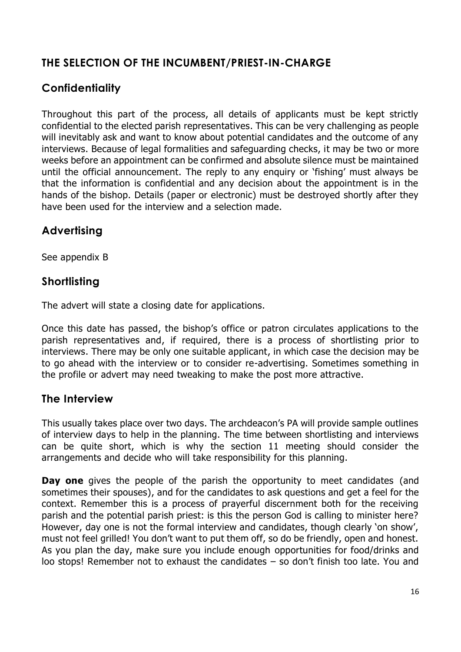# **THE SELECTION OF THE INCUMBENT/PRIEST-IN-CHARGE**

# **Confidentiality**

Throughout this part of the process, all details of applicants must be kept strictly confidential to the elected parish representatives. This can be very challenging as people will inevitably ask and want to know about potential candidates and the outcome of any interviews. Because of legal formalities and safeguarding checks, it may be two or more weeks before an appointment can be confirmed and absolute silence must be maintained until the official announcement. The reply to any enquiry or 'fishing' must always be that the information is confidential and any decision about the appointment is in the hands of the bishop. Details (paper or electronic) must be destroyed shortly after they have been used for the interview and a selection made.

# **Advertising**

See appendix B

### **Shortlisting**

The advert will state a closing date for applications.

Once this date has passed, the bishop's office or patron circulates applications to the parish representatives and, if required, there is a process of shortlisting prior to interviews. There may be only one suitable applicant, in which case the decision may be to go ahead with the interview or to consider re-advertising. Sometimes something in the profile or advert may need tweaking to make the post more attractive.

#### **The Interview**

This usually takes place over two days. The archdeacon's PA will provide sample outlines of interview days to help in the planning. The time between shortlisting and interviews can be quite short, which is why the section 11 meeting should consider the arrangements and decide who will take responsibility for this planning.

**Day one** gives the people of the parish the opportunity to meet candidates (and sometimes their spouses), and for the candidates to ask questions and get a feel for the context. Remember this is a process of prayerful discernment both for the receiving parish and the potential parish priest: is this the person God is calling to minister here? However, day one is not the formal interview and candidates, though clearly 'on show', must not feel grilled! You don't want to put them off, so do be friendly, open and honest. As you plan the day, make sure you include enough opportunities for food/drinks and loo stops! Remember not to exhaust the candidates – so don't finish too late. You and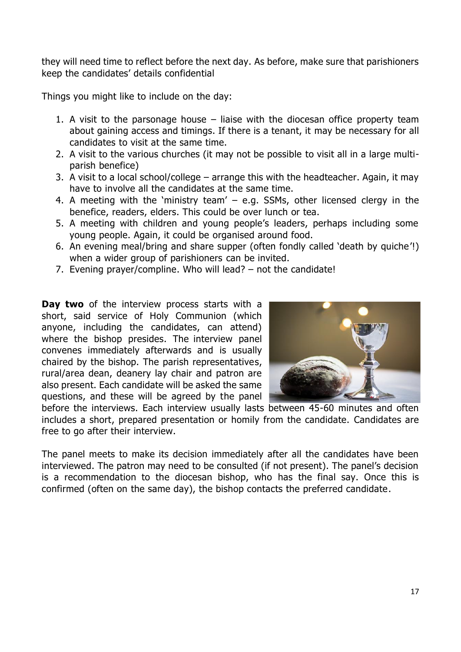they will need time to reflect before the next day. As before, make sure that parishioners keep the candidates' details confidential

Things you might like to include on the day:

- 1. A visit to the parsonage house liaise with the diocesan office property team about gaining access and timings. If there is a tenant, it may be necessary for all candidates to visit at the same time.
- 2. A visit to the various churches (it may not be possible to visit all in a large multiparish benefice)
- 3. A visit to a local school/college arrange this with the headteacher. Again, it may have to involve all the candidates at the same time.
- 4. A meeting with the 'ministry team' e.g. SSMs, other licensed clergy in the benefice, readers, elders. This could be over lunch or tea.
- 5. A meeting with children and young people's leaders, perhaps including some young people. Again, it could be organised around food.
- 6. An evening meal/bring and share supper (often fondly called 'death by quiche'!) when a wider group of parishioners can be invited.
- 7. Evening prayer/compline. Who will lead? not the candidate!

**Day two** of the interview process starts with a short, said service of Holy Communion (which anyone, including the candidates, can attend) where the bishop presides. The interview panel convenes immediately afterwards and is usually chaired by the bishop. The parish representatives, rural/area dean, deanery lay chair and patron are also present. Each candidate will be asked the same questions, and these will be agreed by the panel



before the interviews. Each interview usually lasts between 45-60 minutes and often includes a short, prepared presentation or homily from the candidate. Candidates are free to go after their interview.

The panel meets to make its decision immediately after all the candidates have been interviewed. The patron may need to be consulted (if not present). The panel's decision is a recommendation to the diocesan bishop, who has the final say. Once this is confirmed (often on the same day), the bishop contacts the preferred candidate.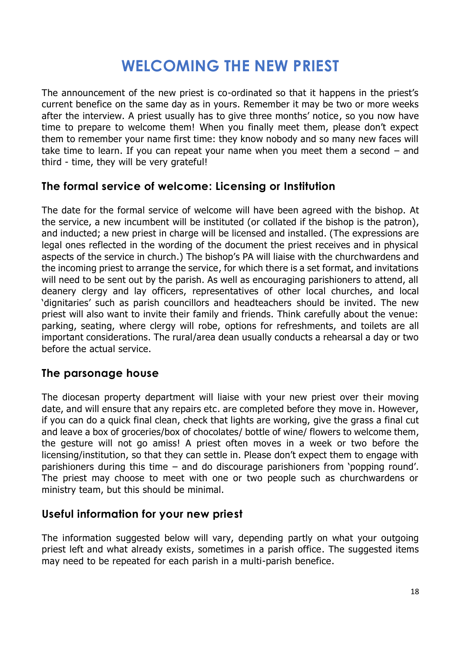# **WELCOMING THE NEW PRIEST**

The announcement of the new priest is co-ordinated so that it happens in the priest's current benefice on the same day as in yours. Remember it may be two or more weeks after the interview. A priest usually has to give three months' notice, so you now have time to prepare to welcome them! When you finally meet them, please don't expect them to remember your name first time: they know nobody and so many new faces will take time to learn. If you can repeat your name when you meet them a second – and third - time, they will be very grateful!

## **The formal service of welcome: Licensing or Institution**

The date for the formal service of welcome will have been agreed with the bishop. At the service, a new incumbent will be instituted (or collated if the bishop is the patron), and inducted; a new priest in charge will be licensed and installed. (The expressions are legal ones reflected in the wording of the document the priest receives and in physical aspects of the service in church.) The bishop's PA will liaise with the churchwardens and the incoming priest to arrange the service, for which there is a set format, and invitations will need to be sent out by the parish. As well as encouraging parishioners to attend, all deanery clergy and lay officers, representatives of other local churches, and local 'dignitaries' such as parish councillors and headteachers should be invited. The new priest will also want to invite their family and friends. Think carefully about the venue: parking, seating, where clergy will robe, options for refreshments, and toilets are all important considerations. The rural/area dean usually conducts a rehearsal a day or two before the actual service.

### **The parsonage house**

The diocesan property department will liaise with your new priest over their moving date, and will ensure that any repairs etc. are completed before they move in. However, if you can do a quick final clean, check that lights are working, give the grass a final cut and leave a box of groceries/box of chocolates/ bottle of wine/ flowers to welcome them, the gesture will not go amiss! A priest often moves in a week or two before the licensing/institution, so that they can settle in. Please don't expect them to engage with parishioners during this time – and do discourage parishioners from 'popping round'. The priest may choose to meet with one or two people such as churchwardens or ministry team, but this should be minimal.

### **Useful information for your new priest**

The information suggested below will vary, depending partly on what your outgoing priest left and what already exists, sometimes in a parish office. The suggested items may need to be repeated for each parish in a multi-parish benefice.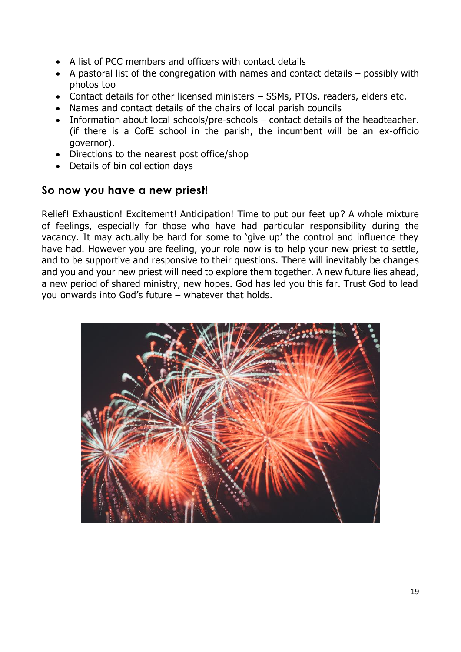- A list of PCC members and officers with contact details
- A pastoral list of the congregation with names and contact details possibly with photos too
- Contact details for other licensed ministers SSMs, PTOs, readers, elders etc.
- Names and contact details of the chairs of local parish councils
- Information about local schools/pre-schools contact details of the headteacher. (if there is a CofE school in the parish, the incumbent will be an ex-officio governor).
- Directions to the nearest post office/shop
- Details of bin collection days

#### **So now you have a new priest!**

Relief! Exhaustion! Excitement! Anticipation! Time to put our feet up? A whole mixture of feelings, especially for those who have had particular responsibility during the vacancy. It may actually be hard for some to 'give up' the control and influence they have had. However you are feeling, your role now is to help your new priest to settle, and to be supportive and responsive to their questions. There will inevitably be changes and you and your new priest will need to explore them together. A new future lies ahead, a new period of shared ministry, new hopes. God has led you this far. Trust God to lead you onwards into God's future – whatever that holds.

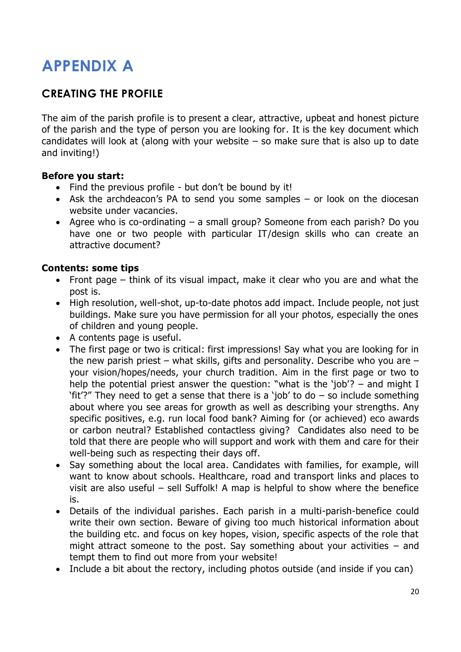# **APPENDIX A**

# **CREATING THE PROFILE**

The aim of the parish profile is to present a clear, attractive, upbeat and honest picture of the parish and the type of person you are looking for. It is the key document which candidates will look at (along with your website  $-$  so make sure that is also up to date and inviting!)

#### **Before you start:**

- Find the previous profile but don't be bound by it!
- Ask the archdeacon's PA to send you some samples or look on the diocesan website under vacancies.
- Agree who is co-ordinating a small group? Someone from each parish? Do you have one or two people with particular IT/design skills who can create an attractive document?

#### **Contents: some tips**

- Front page think of its visual impact, make it clear who you are and what the post is.
- High resolution, well-shot, up-to-date photos add impact. Include people, not just buildings. Make sure you have permission for all your photos, especially the ones of children and young people.
- A contents page is useful.
- The first page or two is critical: first impressions! Say what you are looking for in the new parish priest – what skills, gifts and personality. Describe who you are  $$ your vision/hopes/needs, your church tradition. Aim in the first page or two to help the potential priest answer the question: "what is the 'job'? – and might I 'fit'?" They need to get a sense that there is a 'job' to do  $-$  so include something about where you see areas for growth as well as describing your strengths. Any specific positives, e.g. run local food bank? Aiming for (or achieved) eco awards or carbon neutral? Established contactless giving? Candidates also need to be told that there are people who will support and work with them and care for their well-being such as respecting their days off.
- Say something about the local area. Candidates with families, for example, will want to know about schools. Healthcare, road and transport links and places to visit are also useful – sell Suffolk! A map is helpful to show where the benefice is.
- Details of the individual parishes. Each parish in a multi-parish-benefice could write their own section. Beware of giving too much historical information about the building etc. and focus on key hopes, vision, specific aspects of the role that might attract someone to the post. Say something about your activities – and tempt them to find out more from your website!
- Include a bit about the rectory, including photos outside (and inside if you can)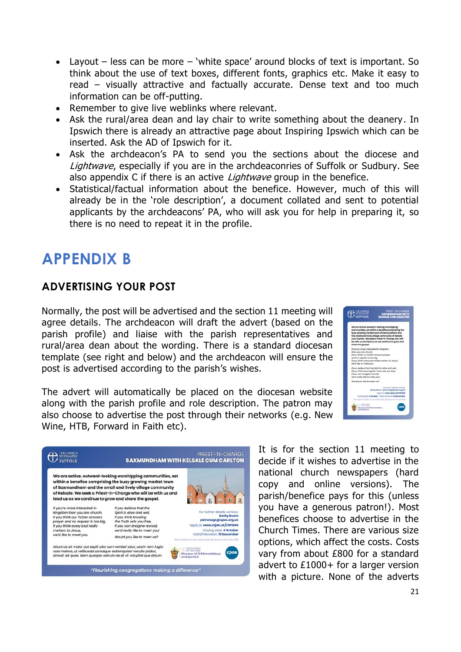- Layout  $-$  less can be more  $-$  'white space' around blocks of text is important. So think about the use of text boxes, different fonts, graphics etc. Make it easy to read – visually attractive and factually accurate. Dense text and too much information can be off-putting.
- Remember to give live weblinks where relevant.
- Ask the rural/area dean and lay chair to write something about the deanery. In Ipswich there is already an attractive page about Inspiring Ipswich which can be inserted. Ask the AD of Ipswich for it.
- Ask the archdeacon's PA to send you the sections about the diocese and Lightwave, especially if you are in the archdeaconries of Suffolk or Sudbury. See also appendix C if there is an active *Lightwave* group in the benefice.
- Statistical/factual information about the benefice. However, much of this will already be in the 'role description', a document collated and sent to potential applicants by the archdeacons' PA, who will ask you for help in preparing it, so there is no need to repeat it in the profile.

# **APPENDIX B**

### **ADVERTISING YOUR POST**

Normally, the post will be advertised and the section 11 meeting will agree details. The archdeacon will draft the advert (based on the parish profile) and liaise with the parish representatives and rural/area dean about the wording. There is a standard diocesan template (see right and below) and the archdeacon will ensure the post is advertised according to the parish's wishes.



The advert will automatically be placed on the diocesan website along with the parish profile and role description. The patron may also choose to advertise the post through their networks (e.g. New Wine, HTB, Forward in Faith etc).



It is for the section 11 meeting to decide if it wishes to advertise in the national church newspapers (hard copy and online versions). The parish/benefice pays for this (unless you have a generous patron!). Most benefices choose to advertise in the Church Times. There are various size options, which affect the costs. Costs vary from about £800 for a standard advert to £1000+ for a larger version with a picture. None of the adverts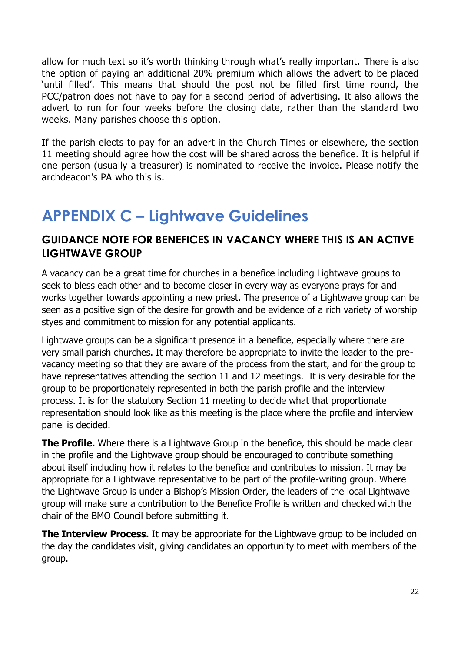allow for much text so it's worth thinking through what's really important. There is also the option of paying an additional 20% premium which allows the advert to be placed 'until filled'. This means that should the post not be filled first time round, the PCC/patron does not have to pay for a second period of advertising. It also allows the advert to run for four weeks before the closing date, rather than the standard two weeks. Many parishes choose this option.

If the parish elects to pay for an advert in the Church Times or elsewhere, the section 11 meeting should agree how the cost will be shared across the benefice. It is helpful if one person (usually a treasurer) is nominated to receive the invoice. Please notify the archdeacon's PA who this is.

# **APPENDIX C – Lightwave Guidelines**

### **GUIDANCE NOTE FOR BENEFICES IN VACANCY WHERE THIS IS AN ACTIVE LIGHTWAVE GROUP**

A vacancy can be a great time for churches in a benefice including Lightwave groups to seek to bless each other and to become closer in every way as everyone prays for and works together towards appointing a new priest. The presence of a Lightwave group can be seen as a positive sign of the desire for growth and be evidence of a rich variety of worship styes and commitment to mission for any potential applicants.

Lightwave groups can be a significant presence in a benefice, especially where there are very small parish churches. It may therefore be appropriate to invite the leader to the prevacancy meeting so that they are aware of the process from the start, and for the group to have representatives attending the section 11 and 12 meetings. It is very desirable for the group to be proportionately represented in both the parish profile and the interview process. It is for the statutory Section 11 meeting to decide what that proportionate representation should look like as this meeting is the place where the profile and interview panel is decided.

**The Profile.** Where there is a Lightwave Group in the benefice, this should be made clear in the profile and the Lightwave group should be encouraged to contribute something about itself including how it relates to the benefice and contributes to mission. It may be appropriate for a Lightwave representative to be part of the profile-writing group. Where the Lightwave Group is under a Bishop's Mission Order, the leaders of the local Lightwave group will make sure a contribution to the Benefice Profile is written and checked with the chair of the BMO Council before submitting it.

**The Interview Process.** It may be appropriate for the Lightwave group to be included on the day the candidates visit, giving candidates an opportunity to meet with members of the group.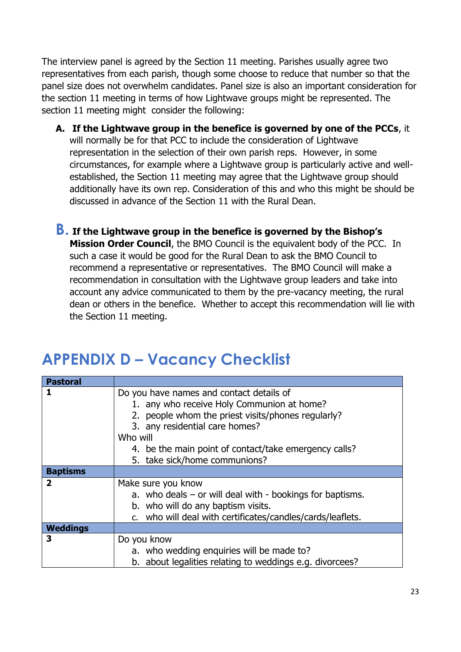The interview panel is agreed by the Section 11 meeting. Parishes usually agree two representatives from each parish, though some choose to reduce that number so that the panel size does not overwhelm candidates. Panel size is also an important consideration for the section 11 meeting in terms of how Lightwave groups might be represented. The section 11 meeting might consider the following:

- **A. If the Lightwave group in the benefice is governed by one of the PCCs**, it will normally be for that PCC to include the consideration of Lightwave representation in the selection of their own parish reps. However, in some circumstances, for example where a Lightwave group is particularly active and wellestablished, the Section 11 meeting may agree that the Lightwave group should additionally have its own rep. Consideration of this and who this might be should be discussed in advance of the Section 11 with the Rural Dean.
- **B. If the Lightwave group in the benefice is governed by the Bishop's Mission Order Council**, the BMO Council is the equivalent body of the PCC. In such a case it would be good for the Rural Dean to ask the BMO Council to recommend a representative or representatives. The BMO Council will make a recommendation in consultation with the Lightwave group leaders and take into account any advice communicated to them by the pre-vacancy meeting, the rural dean or others in the benefice. Whether to accept this recommendation will lie with the Section 11 meeting.

# **APPENDIX D – Vacancy Checklist**

| <b>Pastoral</b>         |                                                               |
|-------------------------|---------------------------------------------------------------|
| 1                       | Do you have names and contact details of                      |
|                         | 1. any who receive Holy Communion at home?                    |
|                         | 2. people whom the priest visits/phones regularly?            |
|                         | 3. any residential care homes?                                |
|                         | Who will                                                      |
|                         | 4. be the main point of contact/take emergency calls?         |
|                         | 5. take sick/home communions?                                 |
| <b>Baptisms</b>         |                                                               |
| $\overline{\mathbf{2}}$ | Make sure you know                                            |
|                         | a. who deals $-$ or will deal with $-$ bookings for baptisms. |
|                         | b. who will do any baptism visits.                            |
|                         | c. who will deal with certificates/candles/cards/leaflets.    |
| <b>Weddings</b>         |                                                               |
| 3                       | Do you know                                                   |
|                         | a. who wedding enquiries will be made to?                     |
|                         | b. about legalities relating to weddings e.g. divorcees?      |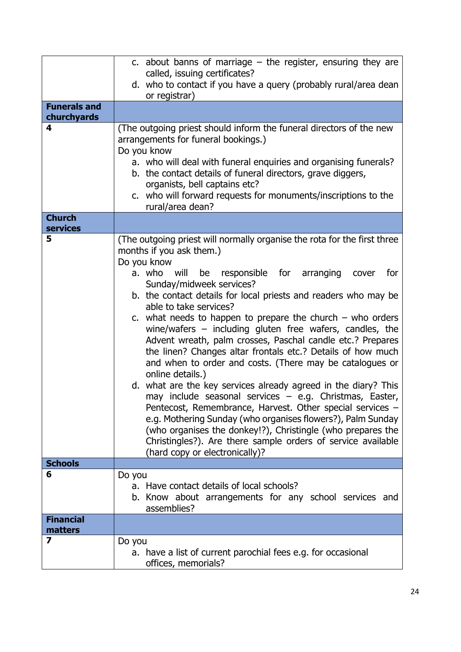|                                    | c. about banns of marriage $-$ the register, ensuring they are<br>called, issuing certificates?<br>d. who to contact if you have a query (probably rural/area dean<br>or registrar)                                                                                                                                                                                                                                                                                                                                                                                                                                                                                                                                                                                                                                                                                                                                                                                                                                                                                                    |
|------------------------------------|----------------------------------------------------------------------------------------------------------------------------------------------------------------------------------------------------------------------------------------------------------------------------------------------------------------------------------------------------------------------------------------------------------------------------------------------------------------------------------------------------------------------------------------------------------------------------------------------------------------------------------------------------------------------------------------------------------------------------------------------------------------------------------------------------------------------------------------------------------------------------------------------------------------------------------------------------------------------------------------------------------------------------------------------------------------------------------------|
| <b>Funerals and</b><br>churchyards |                                                                                                                                                                                                                                                                                                                                                                                                                                                                                                                                                                                                                                                                                                                                                                                                                                                                                                                                                                                                                                                                                        |
| 4                                  | (The outgoing priest should inform the funeral directors of the new<br>arrangements for funeral bookings.)<br>Do you know<br>a. who will deal with funeral enquiries and organising funerals?<br>b. the contact details of funeral directors, grave diggers,<br>organists, bell captains etc?<br>c. who will forward requests for monuments/inscriptions to the<br>rural/area dean?                                                                                                                                                                                                                                                                                                                                                                                                                                                                                                                                                                                                                                                                                                    |
| <b>Church</b><br><b>services</b>   |                                                                                                                                                                                                                                                                                                                                                                                                                                                                                                                                                                                                                                                                                                                                                                                                                                                                                                                                                                                                                                                                                        |
| 5                                  | (The outgoing priest will normally organise the rota for the first three<br>months if you ask them.)<br>Do you know<br>a. who<br>will<br>responsible for arranging<br>for<br>be<br>cover<br>Sunday/midweek services?<br>b. the contact details for local priests and readers who may be<br>able to take services?<br>c. what needs to happen to prepare the church $-$ who orders<br>wine/wafers $-$ including gluten free wafers, candles, the<br>Advent wreath, palm crosses, Paschal candle etc.? Prepares<br>the linen? Changes altar frontals etc.? Details of how much<br>and when to order and costs. (There may be catalogues or<br>online details.)<br>d. what are the key services already agreed in the diary? This<br>may include seasonal services - e.g. Christmas, Easter,<br>Pentecost, Remembrance, Harvest. Other special services -<br>e.g. Mothering Sunday (who organises flowers?), Palm Sunday<br>(who organises the donkey!?), Christingle (who prepares the<br>Christingles?). Are there sample orders of service available<br>(hard copy or electronically)? |
| <b>Schools</b><br>6                |                                                                                                                                                                                                                                                                                                                                                                                                                                                                                                                                                                                                                                                                                                                                                                                                                                                                                                                                                                                                                                                                                        |
|                                    | Do you<br>a. Have contact details of local schools?<br>b. Know about arrangements for any school services and<br>assemblies?                                                                                                                                                                                                                                                                                                                                                                                                                                                                                                                                                                                                                                                                                                                                                                                                                                                                                                                                                           |
| <b>Financial</b><br>matters        |                                                                                                                                                                                                                                                                                                                                                                                                                                                                                                                                                                                                                                                                                                                                                                                                                                                                                                                                                                                                                                                                                        |
| 7                                  | Do you<br>a. have a list of current parochial fees e.g. for occasional<br>offices, memorials?                                                                                                                                                                                                                                                                                                                                                                                                                                                                                                                                                                                                                                                                                                                                                                                                                                                                                                                                                                                          |